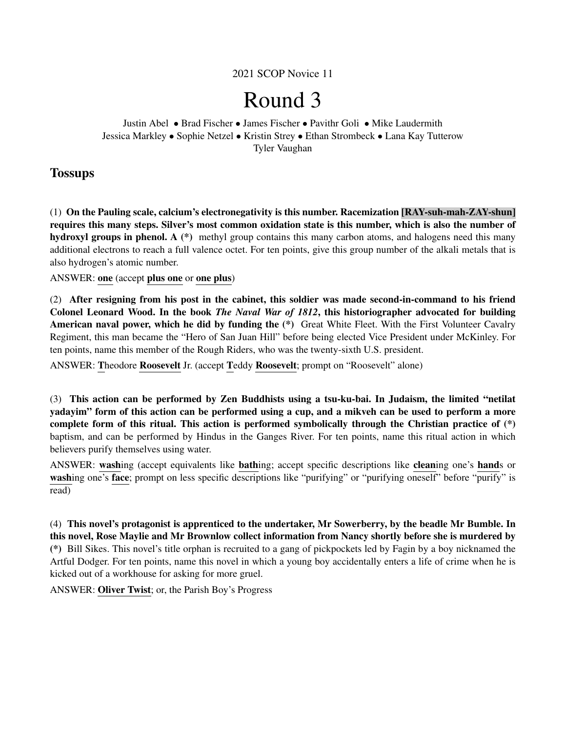2021 SCOP Novice 11

# Round 3

Justin Abel • Brad Fischer • James Fischer • Pavithr Goli • Mike Laudermith Jessica Markley • Sophie Netzel • Kristin Strey • Ethan Strombeck • Lana Kay Tutterow Tyler Vaughan

## **Tossups**

(1) On the Pauling scale, calcium's electronegativity is this number. Racemization [RAY-suh-mah-ZAY-shun] requires this many steps. Silver's most common oxidation state is this number, which is also the number of hydroxyl groups in phenol. A (\*) methyl group contains this many carbon atoms, and halogens need this many additional electrons to reach a full valence octet. For ten points, give this group number of the alkali metals that is also hydrogen's atomic number.

#### ANSWER: one (accept plus one or one plus)

(2) After resigning from his post in the cabinet, this soldier was made second-in-command to his friend Colonel Leonard Wood. In the book *The Naval War of 1812*, this historiographer advocated for building American naval power, which he did by funding the (\*) Great White Fleet. With the First Volunteer Cavalry Regiment, this man became the "Hero of San Juan Hill" before being elected Vice President under McKinley. For ten points, name this member of the Rough Riders, who was the twenty-sixth U.S. president.

ANSWER: Theodore Roosevelt Jr. (accept Teddy Roosevelt; prompt on "Roosevelt" alone)

(3) This action can be performed by Zen Buddhists using a tsu-ku-bai. In Judaism, the limited "netilat yadayim" form of this action can be performed using a cup, and a mikveh can be used to perform a more complete form of this ritual. This action is performed symbolically through the Christian practice of (\*) baptism, and can be performed by Hindus in the Ganges River. For ten points, name this ritual action in which believers purify themselves using water.

ANSWER: washing (accept equivalents like bathing; accept specific descriptions like cleaning one's hands or washing one's face; prompt on less specific descriptions like "purifying" or "purifying oneself" before "purify" is read)

(4) This novel's protagonist is apprenticed to the undertaker, Mr Sowerberry, by the beadle Mr Bumble. In this novel, Rose Maylie and Mr Brownlow collect information from Nancy shortly before she is murdered by (\*) Bill Sikes. This novel's title orphan is recruited to a gang of pickpockets led by Fagin by a boy nicknamed the Artful Dodger. For ten points, name this novel in which a young boy accidentally enters a life of crime when he is kicked out of a workhouse for asking for more gruel.

ANSWER: Oliver Twist; or, the Parish Boy's Progress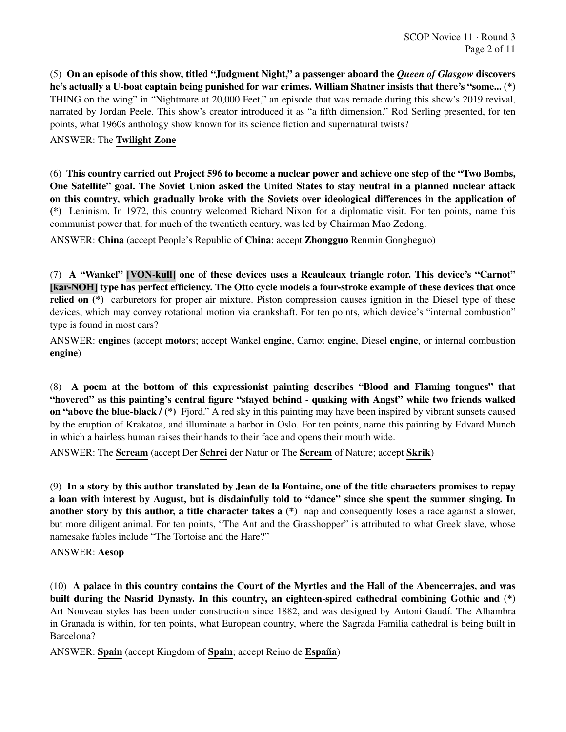(5) On an episode of this show, titled "Judgment Night," a passenger aboard the *Queen of Glasgow* discovers he's actually a U-boat captain being punished for war crimes. William Shatner insists that there's "some... (\*) THING on the wing" in "Nightmare at 20,000 Feet," an episode that was remade during this show's 2019 revival, narrated by Jordan Peele. This show's creator introduced it as "a fifth dimension." Rod Serling presented, for ten points, what 1960s anthology show known for its science fiction and supernatural twists?

#### ANSWER: The Twilight Zone

(6) This country carried out Project 596 to become a nuclear power and achieve one step of the "Two Bombs, One Satellite" goal. The Soviet Union asked the United States to stay neutral in a planned nuclear attack on this country, which gradually broke with the Soviets over ideological differences in the application of (\*) Leninism. In 1972, this country welcomed Richard Nixon for a diplomatic visit. For ten points, name this communist power that, for much of the twentieth century, was led by Chairman Mao Zedong.

ANSWER: China (accept People's Republic of China; accept Zhongguo Renmin Gongheguo)

(7) A "Wankel" [VON-kull] one of these devices uses a Reauleaux triangle rotor. This device's "Carnot" [kar-NOH] type has perfect efficiency. The Otto cycle models a four-stroke example of these devices that once relied on (\*) carburetors for proper air mixture. Piston compression causes ignition in the Diesel type of these devices, which may convey rotational motion via crankshaft. For ten points, which device's "internal combustion" type is found in most cars?

ANSWER: engines (accept motors; accept Wankel engine, Carnot engine, Diesel engine, or internal combustion engine)

(8) A poem at the bottom of this expressionist painting describes "Blood and Flaming tongues" that "hovered" as this painting's central figure "stayed behind - quaking with Angst" while two friends walked on "above the blue-black / (\*) Fjord." A red sky in this painting may have been inspired by vibrant sunsets caused by the eruption of Krakatoa, and illuminate a harbor in Oslo. For ten points, name this painting by Edvard Munch in which a hairless human raises their hands to their face and opens their mouth wide.

ANSWER: The Scream (accept Der Schrei der Natur or The Scream of Nature; accept Skrik)

(9) In a story by this author translated by Jean de la Fontaine, one of the title characters promises to repay a loan with interest by August, but is disdainfully told to "dance" since she spent the summer singing. In another story by this author, a title character takes a (\*) nap and consequently loses a race against a slower, but more diligent animal. For ten points, "The Ant and the Grasshopper" is attributed to what Greek slave, whose namesake fables include "The Tortoise and the Hare?"

#### ANSWER: Aesop

(10) A palace in this country contains the Court of the Myrtles and the Hall of the Abencerrajes, and was built during the Nasrid Dynasty. In this country, an eighteen-spired cathedral combining Gothic and (\*) Art Nouveau styles has been under construction since 1882, and was designed by Antoni Gaudí. The Alhambra in Granada is within, for ten points, what European country, where the Sagrada Familia cathedral is being built in Barcelona?

ANSWER: Spain (accept Kingdom of Spain; accept Reino de España)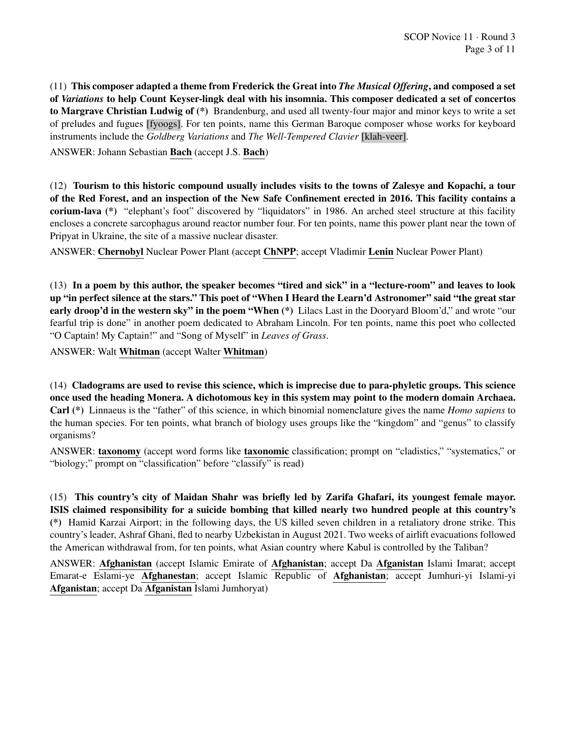(11) This composer adapted a theme from Frederick the Great into *The Musical Offering*, and composed a set of *Variations* to help Count Keyser-lingk deal with his insomnia. This composer dedicated a set of concertos to Margrave Christian Ludwig of (\*) Brandenburg, and used all twenty-four major and minor keys to write a set of preludes and fugues [fyoogs]. For ten points, name this German Baroque composer whose works for keyboard instruments include the *Goldberg Variations* and *The Well-Tempered Clavier* [klah-veer].

ANSWER: Johann Sebastian Bach (accept J.S. Bach)

(12) Tourism to this historic compound usually includes visits to the towns of Zalesye and Kopachi, a tour of the Red Forest, and an inspection of the New Safe Confinement erected in 2016. This facility contains a corium-lava (\*) "elephant's foot" discovered by "liquidators" in 1986. An arched steel structure at this facility encloses a concrete sarcophagus around reactor number four. For ten points, name this power plant near the town of Pripyat in Ukraine, the site of a massive nuclear disaster.

ANSWER: Chernobyl Nuclear Power Plant (accept ChNPP; accept Vladimir Lenin Nuclear Power Plant)

(13) In a poem by this author, the speaker becomes "tired and sick" in a "lecture-room" and leaves to look up "in perfect silence at the stars." This poet of "When I Heard the Learn'd Astronomer" said "the great star early droop'd in the western sky" in the poem "When (\*) Lilacs Last in the Dooryard Bloom'd," and wrote "our fearful trip is done" in another poem dedicated to Abraham Lincoln. For ten points, name this poet who collected "O Captain! My Captain!" and "Song of Myself" in *Leaves of Grass*.

ANSWER: Walt Whitman (accept Walter Whitman)

(14) Cladograms are used to revise this science, which is imprecise due to para-phyletic groups. This science once used the heading Monera. A dichotomous key in this system may point to the modern domain Archaea. Carl (\*) Linnaeus is the "father" of this science, in which binomial nomenclature gives the name *Homo sapiens* to the human species. For ten points, what branch of biology uses groups like the "kingdom" and "genus" to classify organisms?

ANSWER: taxonomy (accept word forms like taxonomic classification; prompt on "cladistics," "systematics," or "biology;" prompt on "classification" before "classify" is read)

(15) This country's city of Maidan Shahr was briefly led by Zarifa Ghafari, its youngest female mayor. ISIS claimed responsibility for a suicide bombing that killed nearly two hundred people at this country's (\*) Hamid Karzai Airport; in the following days, the US killed seven children in a retaliatory drone strike. This country's leader, Ashraf Ghani, fled to nearby Uzbekistan in August 2021. Two weeks of airlift evacuations followed the American withdrawal from, for ten points, what Asian country where Kabul is controlled by the Taliban?

ANSWER: Afghanistan (accept Islamic Emirate of Afghanistan; accept Da Afganistan Islami Imarat; accept Emarat-e Eslami-ye Afghanestan; accept Islamic Republic of Afghanistan; accept Jumhuri-yi Islami-yi Afganistan; accept Da Afganistan Islami Jumhoryat)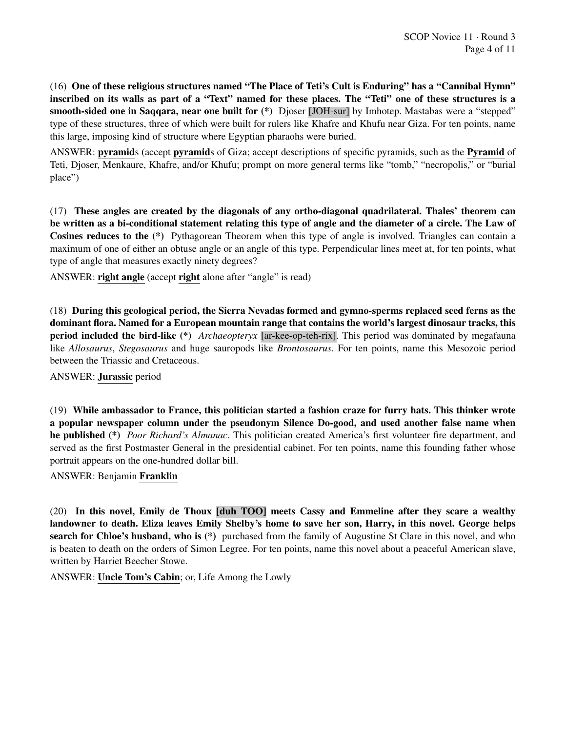(16) One of these religious structures named "The Place of Teti's Cult is Enduring" has a "Cannibal Hymn" inscribed on its walls as part of a "Text" named for these places. The "Teti" one of these structures is a smooth-sided one in Saqqara, near one built for (\*) Djoser [JOH-sur] by Imhotep. Mastabas were a "stepped" type of these structures, three of which were built for rulers like Khafre and Khufu near Giza. For ten points, name this large, imposing kind of structure where Egyptian pharaohs were buried.

ANSWER: pyramids (accept pyramids of Giza; accept descriptions of specific pyramids, such as the Pyramid of Teti, Djoser, Menkaure, Khafre, and/or Khufu; prompt on more general terms like "tomb," "necropolis," or "burial place")

(17) These angles are created by the diagonals of any ortho-diagonal quadrilateral. Thales' theorem can be written as a bi-conditional statement relating this type of angle and the diameter of a circle. The Law of Cosines reduces to the (\*) Pythagorean Theorem when this type of angle is involved. Triangles can contain a maximum of one of either an obtuse angle or an angle of this type. Perpendicular lines meet at, for ten points, what type of angle that measures exactly ninety degrees?

ANSWER: right angle (accept right alone after "angle" is read)

(18) During this geological period, the Sierra Nevadas formed and gymno-sperms replaced seed ferns as the dominant flora. Named for a European mountain range that contains the world's largest dinosaur tracks, this period included the bird-like (\*) *Archaeopteryx* [ar-kee-op-teh-rix]. This period was dominated by megafauna like *Allosaurus*, *Stegosaurus* and huge sauropods like *Brontosaurus*. For ten points, name this Mesozoic period between the Triassic and Cretaceous.

ANSWER: Jurassic period

(19) While ambassador to France, this politician started a fashion craze for furry hats. This thinker wrote a popular newspaper column under the pseudonym Silence Do-good, and used another false name when he published (\*) *Poor Richard's Almanac*. This politician created America's first volunteer fire department, and served as the first Postmaster General in the presidential cabinet. For ten points, name this founding father whose portrait appears on the one-hundred dollar bill.

ANSWER: Benjamin Franklin

(20) In this novel, Emily de Thoux [duh TOO] meets Cassy and Emmeline after they scare a wealthy landowner to death. Eliza leaves Emily Shelby's home to save her son, Harry, in this novel. George helps search for Chloe's husband, who is (\*) purchased from the family of Augustine St Clare in this novel, and who is beaten to death on the orders of Simon Legree. For ten points, name this novel about a peaceful American slave, written by Harriet Beecher Stowe.

ANSWER: Uncle Tom's Cabin; or, Life Among the Lowly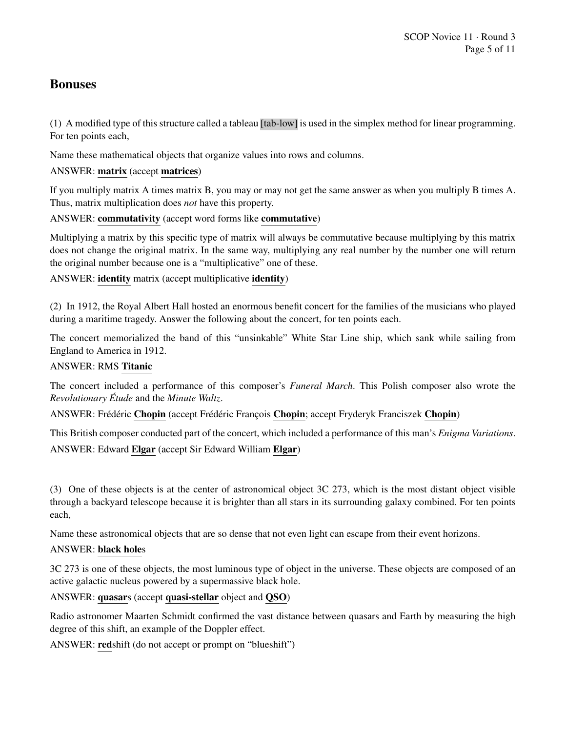## Bonuses

(1) A modified type of this structure called a tableau [tab-low] is used in the simplex method for linear programming. For ten points each,

Name these mathematical objects that organize values into rows and columns.

## ANSWER: matrix (accept matrices)

If you multiply matrix A times matrix B, you may or may not get the same answer as when you multiply B times A. Thus, matrix multiplication does *not* have this property.

ANSWER: commutativity (accept word forms like commutative)

Multiplying a matrix by this specific type of matrix will always be commutative because multiplying by this matrix does not change the original matrix. In the same way, multiplying any real number by the number one will return the original number because one is a "multiplicative" one of these.

ANSWER: identity matrix (accept multiplicative identity)

(2) In 1912, the Royal Albert Hall hosted an enormous benefit concert for the families of the musicians who played during a maritime tragedy. Answer the following about the concert, for ten points each.

The concert memorialized the band of this "unsinkable" White Star Line ship, which sank while sailing from England to America in 1912.

## ANSWER: RMS Titanic

The concert included a performance of this composer's *Funeral March*. This Polish composer also wrote the *Revolutionary Etude ´* and the *Minute Waltz*.

ANSWER: Frédéric Chopin (accept Frédéric François Chopin; accept Fryderyk Franciszek Chopin)

This British composer conducted part of the concert, which included a performance of this man's *Enigma Variations*. ANSWER: Edward Elgar (accept Sir Edward William Elgar)

(3) One of these objects is at the center of astronomical object 3C 273, which is the most distant object visible through a backyard telescope because it is brighter than all stars in its surrounding galaxy combined. For ten points each,

Name these astronomical objects that are so dense that not even light can escape from their event horizons.

## ANSWER: black holes

3C 273 is one of these objects, the most luminous type of object in the universe. These objects are composed of an active galactic nucleus powered by a supermassive black hole.

ANSWER: quasars (accept quasi-stellar object and QSO)

Radio astronomer Maarten Schmidt confirmed the vast distance between quasars and Earth by measuring the high degree of this shift, an example of the Doppler effect.

ANSWER: redshift (do not accept or prompt on "blueshift")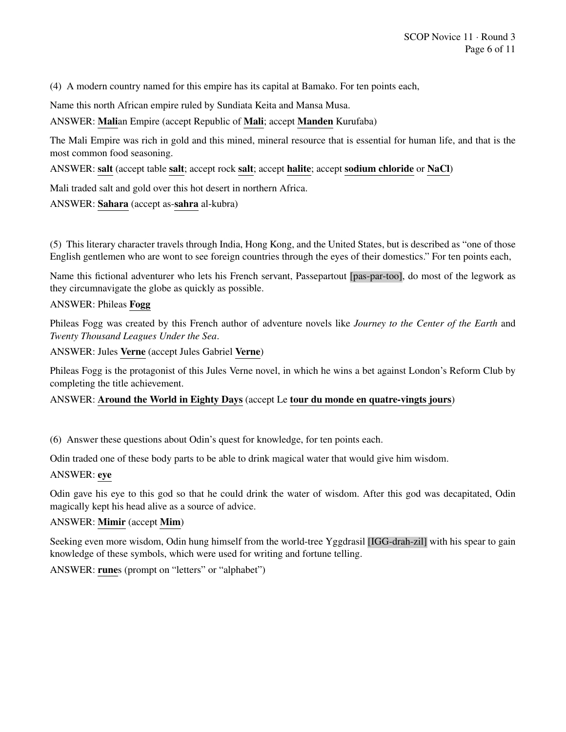(4) A modern country named for this empire has its capital at Bamako. For ten points each,

Name this north African empire ruled by Sundiata Keita and Mansa Musa.

ANSWER: Malian Empire (accept Republic of Mali; accept Manden Kurufaba)

The Mali Empire was rich in gold and this mined, mineral resource that is essential for human life, and that is the most common food seasoning.

ANSWER: salt (accept table salt; accept rock salt; accept halite; accept sodium chloride or NaCl)

Mali traded salt and gold over this hot desert in northern Africa.

ANSWER: Sahara (accept as-sahra al-kubra)

(5) This literary character travels through India, Hong Kong, and the United States, but is described as "one of those English gentlemen who are wont to see foreign countries through the eyes of their domestics." For ten points each,

Name this fictional adventurer who lets his French servant, Passepartout [pas-par-too], do most of the legwork as they circumnavigate the globe as quickly as possible.

#### ANSWER: Phileas Fogg

Phileas Fogg was created by this French author of adventure novels like *Journey to the Center of the Earth* and *Twenty Thousand Leagues Under the Sea*.

ANSWER: Jules Verne (accept Jules Gabriel Verne)

Phileas Fogg is the protagonist of this Jules Verne novel, in which he wins a bet against London's Reform Club by completing the title achievement.

## ANSWER: Around the World in Eighty Days (accept Le tour du monde en quatre-vingts jours)

(6) Answer these questions about Odin's quest for knowledge, for ten points each.

Odin traded one of these body parts to be able to drink magical water that would give him wisdom.

#### ANSWER: eye

Odin gave his eye to this god so that he could drink the water of wisdom. After this god was decapitated, Odin magically kept his head alive as a source of advice.

#### ANSWER: Mimir (accept Mim)

Seeking even more wisdom, Odin hung himself from the world-tree Yggdrasil [IGG-drah-zil] with his spear to gain knowledge of these symbols, which were used for writing and fortune telling.

ANSWER: runes (prompt on "letters" or "alphabet")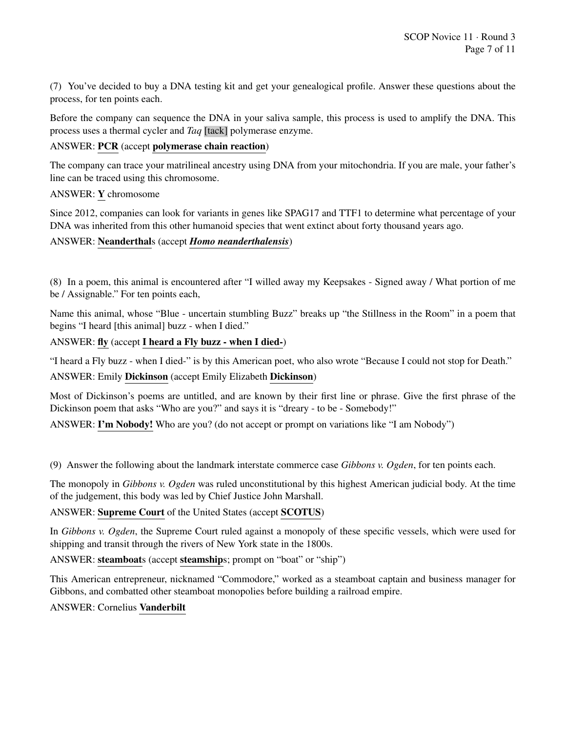(7) You've decided to buy a DNA testing kit and get your genealogical profile. Answer these questions about the process, for ten points each.

Before the company can sequence the DNA in your saliva sample, this process is used to amplify the DNA. This process uses a thermal cycler and *Taq* [tack] polymerase enzyme.

#### ANSWER: PCR (accept polymerase chain reaction)

The company can trace your matrilineal ancestry using DNA from your mitochondria. If you are male, your father's line can be traced using this chromosome.

#### ANSWER: Y chromosome

Since 2012, companies can look for variants in genes like SPAG17 and TTF1 to determine what percentage of your DNA was inherited from this other humanoid species that went extinct about forty thousand years ago.

#### ANSWER: Neanderthals (accept *Homo neanderthalensis*)

(8) In a poem, this animal is encountered after "I willed away my Keepsakes - Signed away / What portion of me be / Assignable." For ten points each,

Name this animal, whose "Blue - uncertain stumbling Buzz" breaks up "the Stillness in the Room" in a poem that begins "I heard [this animal] buzz - when I died."

#### ANSWER: fly (accept I heard a Fly buzz - when I died-)

"I heard a Fly buzz - when I died-" is by this American poet, who also wrote "Because I could not stop for Death." ANSWER: Emily Dickinson (accept Emily Elizabeth Dickinson)

Most of Dickinson's poems are untitled, and are known by their first line or phrase. Give the first phrase of the Dickinson poem that asks "Who are you?" and says it is "dreary - to be - Somebody!"

ANSWER: I'm Nobody! Who are you? (do not accept or prompt on variations like "I am Nobody")

(9) Answer the following about the landmark interstate commerce case *Gibbons v. Ogden*, for ten points each.

The monopoly in *Gibbons v. Ogden* was ruled unconstitutional by this highest American judicial body. At the time of the judgement, this body was led by Chief Justice John Marshall.

## ANSWER: Supreme Court of the United States (accept SCOTUS)

In *Gibbons v. Ogden*, the Supreme Court ruled against a monopoly of these specific vessels, which were used for shipping and transit through the rivers of New York state in the 1800s.

ANSWER: steamboats (accept steamships; prompt on "boat" or "ship")

This American entrepreneur, nicknamed "Commodore," worked as a steamboat captain and business manager for Gibbons, and combatted other steamboat monopolies before building a railroad empire.

#### ANSWER: Cornelius Vanderbilt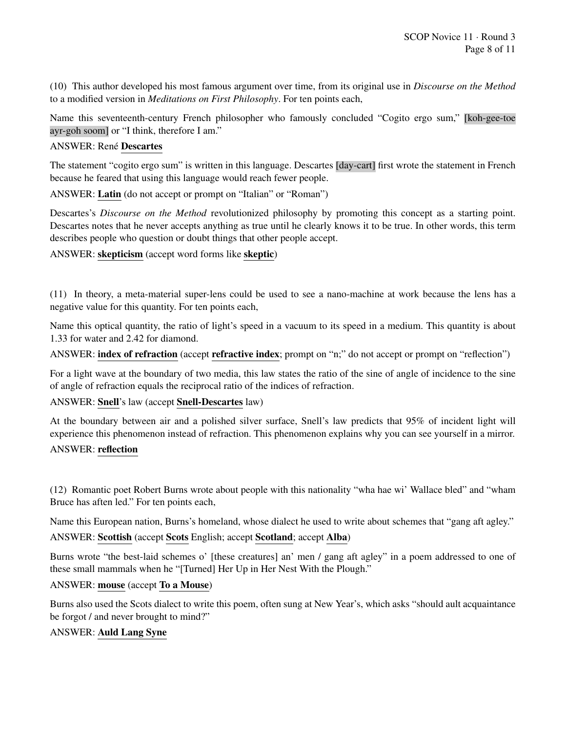(10) This author developed his most famous argument over time, from its original use in *Discourse on the Method* to a modified version in *Meditations on First Philosophy*. For ten points each,

Name this seventeenth-century French philosopher who famously concluded "Cogito ergo sum," [koh-gee-toe ayr-goh soom] or "I think, therefore I am."

#### ANSWER: René Descartes

The statement "cogito ergo sum" is written in this language. Descartes [day-cart] first wrote the statement in French because he feared that using this language would reach fewer people.

ANSWER: Latin (do not accept or prompt on "Italian" or "Roman")

Descartes's *Discourse on the Method* revolutionized philosophy by promoting this concept as a starting point. Descartes notes that he never accepts anything as true until he clearly knows it to be true. In other words, this term describes people who question or doubt things that other people accept.

ANSWER: skepticism (accept word forms like skeptic)

(11) In theory, a meta-material super-lens could be used to see a nano-machine at work because the lens has a negative value for this quantity. For ten points each,

Name this optical quantity, the ratio of light's speed in a vacuum to its speed in a medium. This quantity is about 1.33 for water and 2.42 for diamond.

ANSWER: index of refraction (accept refractive index; prompt on "n;" do not accept or prompt on "reflection")

For a light wave at the boundary of two media, this law states the ratio of the sine of angle of incidence to the sine of angle of refraction equals the reciprocal ratio of the indices of refraction.

ANSWER: Snell's law (accept Snell-Descartes law)

At the boundary between air and a polished silver surface, Snell's law predicts that 95% of incident light will experience this phenomenon instead of refraction. This phenomenon explains why you can see yourself in a mirror.

#### ANSWER: reflection

(12) Romantic poet Robert Burns wrote about people with this nationality "wha hae wi' Wallace bled" and "wham Bruce has aften led." For ten points each,

Name this European nation, Burns's homeland, whose dialect he used to write about schemes that "gang aft agley."

#### ANSWER: Scottish (accept Scots English; accept Scotland; accept Alba)

Burns wrote "the best-laid schemes o' [these creatures] an' men / gang aft agley" in a poem addressed to one of these small mammals when he "[Turned] Her Up in Her Nest With the Plough."

## ANSWER: mouse (accept To a Mouse)

Burns also used the Scots dialect to write this poem, often sung at New Year's, which asks "should ault acquaintance be forgot / and never brought to mind?"

#### ANSWER: Auld Lang Syne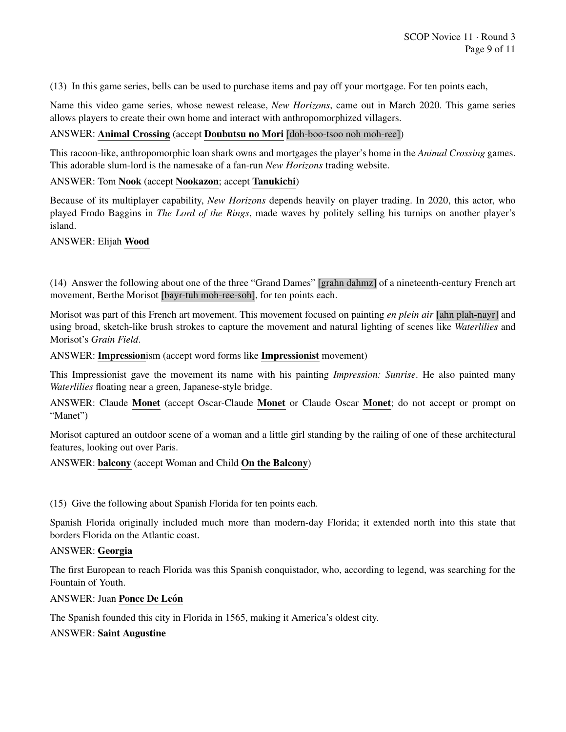(13) In this game series, bells can be used to purchase items and pay off your mortgage. For ten points each,

Name this video game series, whose newest release, *New Horizons*, came out in March 2020. This game series allows players to create their own home and interact with anthropomorphized villagers.

#### ANSWER: Animal Crossing (accept Doubutsu no Mori [doh-boo-tsoo noh moh-ree])

This racoon-like, anthropomorphic loan shark owns and mortgages the player's home in the *Animal Crossing* games. This adorable slum-lord is the namesake of a fan-run *New Horizons* trading website.

#### ANSWER: Tom Nook (accept Nookazon; accept Tanukichi)

Because of its multiplayer capability, *New Horizons* depends heavily on player trading. In 2020, this actor, who played Frodo Baggins in *The Lord of the Rings*, made waves by politely selling his turnips on another player's island.

ANSWER: Elijah Wood

(14) Answer the following about one of the three "Grand Dames" [grahn dahmz] of a nineteenth-century French art movement, Berthe Morisot [bayr-tuh moh-ree-soh], for ten points each.

Morisot was part of this French art movement. This movement focused on painting *en plein air* [ahn plah-nayr] and using broad, sketch-like brush strokes to capture the movement and natural lighting of scenes like *Waterlilies* and Morisot's *Grain Field*.

ANSWER: Impressionism (accept word forms like Impressionist movement)

This Impressionist gave the movement its name with his painting *Impression: Sunrise*. He also painted many *Waterlilies* floating near a green, Japanese-style bridge.

ANSWER: Claude Monet (accept Oscar-Claude Monet or Claude Oscar Monet; do not accept or prompt on "Manet")

Morisot captured an outdoor scene of a woman and a little girl standing by the railing of one of these architectural features, looking out over Paris.

#### ANSWER: balcony (accept Woman and Child On the Balcony)

(15) Give the following about Spanish Florida for ten points each.

Spanish Florida originally included much more than modern-day Florida; it extended north into this state that borders Florida on the Atlantic coast.

#### ANSWER: Georgia

The first European to reach Florida was this Spanish conquistador, who, according to legend, was searching for the Fountain of Youth.

#### ANSWER: Juan Ponce De León

The Spanish founded this city in Florida in 1565, making it America's oldest city.

#### ANSWER: Saint Augustine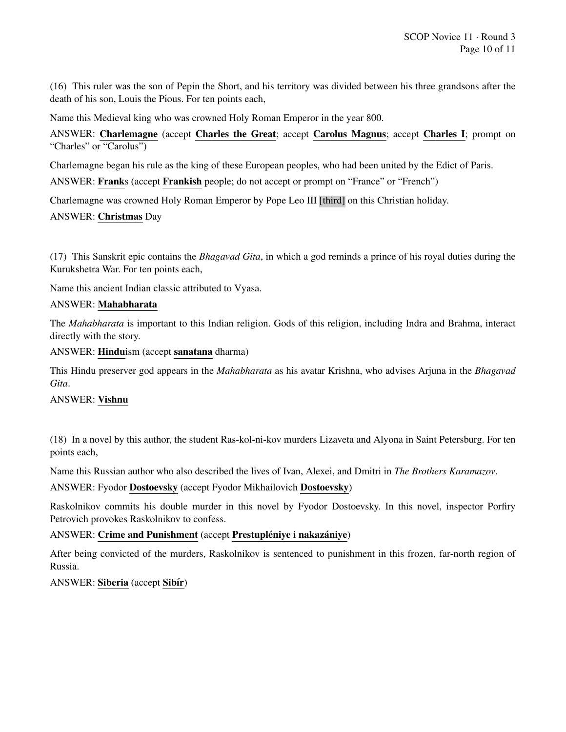(16) This ruler was the son of Pepin the Short, and his territory was divided between his three grandsons after the death of his son, Louis the Pious. For ten points each,

Name this Medieval king who was crowned Holy Roman Emperor in the year 800.

ANSWER: Charlemagne (accept Charles the Great; accept Carolus Magnus; accept Charles I; prompt on "Charles" or "Carolus")

Charlemagne began his rule as the king of these European peoples, who had been united by the Edict of Paris. ANSWER: Franks (accept Frankish people; do not accept or prompt on "France" or "French")

Charlemagne was crowned Holy Roman Emperor by Pope Leo III [third] on this Christian holiday.

## ANSWER: Christmas Day

(17) This Sanskrit epic contains the *Bhagavad Gita*, in which a god reminds a prince of his royal duties during the Kurukshetra War. For ten points each,

Name this ancient Indian classic attributed to Vyasa.

#### ANSWER: Mahabharata

The *Mahabharata* is important to this Indian religion. Gods of this religion, including Indra and Brahma, interact directly with the story.

ANSWER: Hinduism (accept sanatana dharma)

This Hindu preserver god appears in the *Mahabharata* as his avatar Krishna, who advises Arjuna in the *Bhagavad Gita*.

## ANSWER: Vishnu

(18) In a novel by this author, the student Ras-kol-ni-kov murders Lizaveta and Alyona in Saint Petersburg. For ten points each,

Name this Russian author who also described the lives of Ivan, Alexei, and Dmitri in *The Brothers Karamazov*.

ANSWER: Fyodor Dostoevsky (accept Fyodor Mikhailovich Dostoevsky)

Raskolnikov commits his double murder in this novel by Fyodor Dostoevsky. In this novel, inspector Porfiry Petrovich provokes Raskolnikov to confess.

## ANSWER: Crime and Punishment (accept Prestupléniye i nakazániye)

After being convicted of the murders, Raskolnikov is sentenced to punishment in this frozen, far-north region of Russia.

ANSWER: Siberia (accept Sibír)